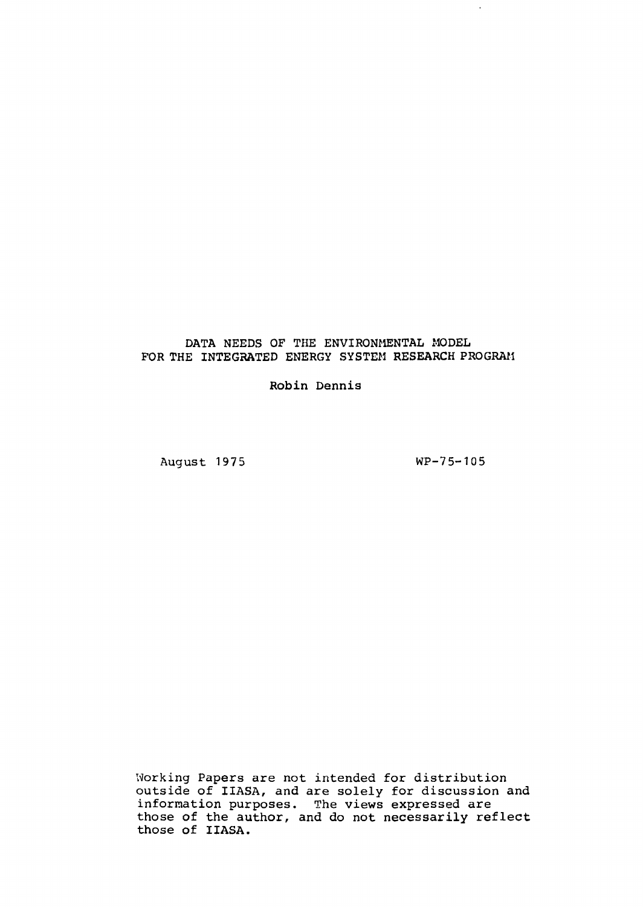## DATA NEEDS OF THE ENVIRONMENTAL MODEL FOR THE INTEGRATED ENERGY SYSTEM RESEARCH PROGRAM

Robin Dennis

August 1975 WP-7S-10S

 $\bar{z}$ 

Working Papers are not intended for distribution outside of IIASA, and are solely for discussion and information purposes. The views expressed are those of the author, and do not necessarily reflect those of IIASA.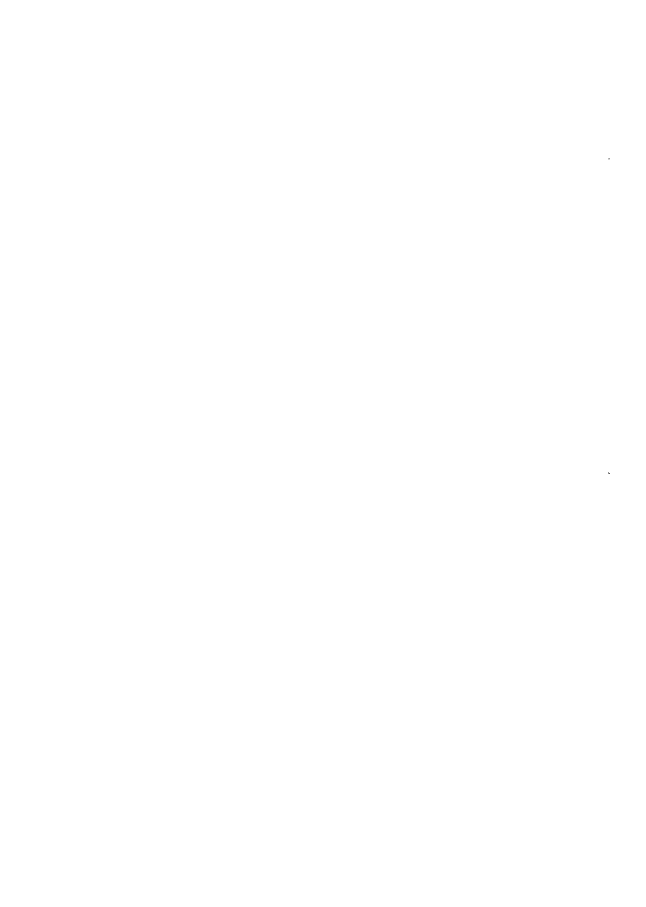$\epsilon$  $\star$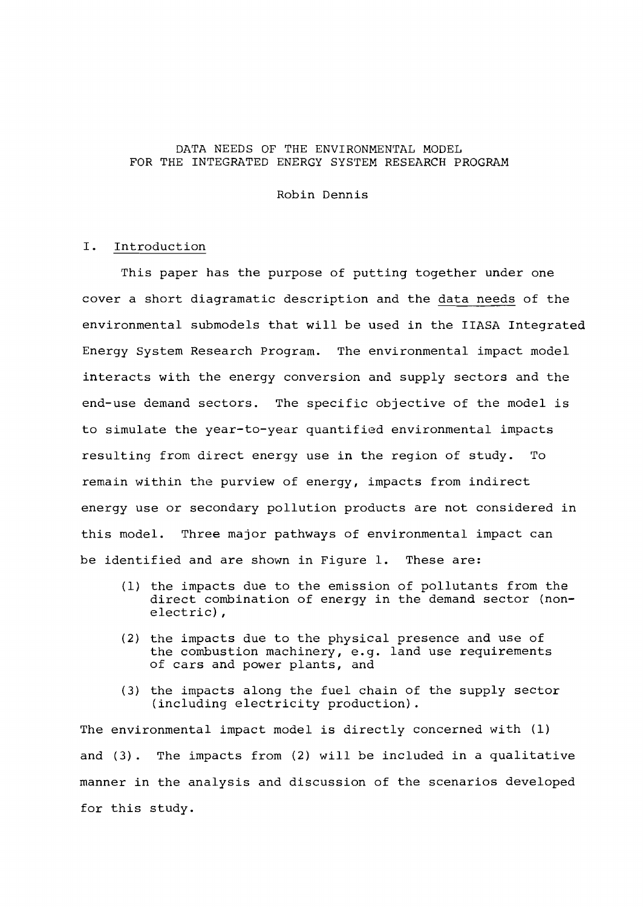## DATA NEEDS OF THE ENVIRONMENTAL MODEL FOR THE INTEGRATED ENERGY SYSTEM RESEARCH PROGRAM

Robin Dennis

### I. Introduction

This paper has the purpose of putting together under one cover a short diagramatic description and the data needs of the environmental submodels that will be used in the IIASA Integrated Energy System Research Program. The environmental impact model interacts with the energy conversion and supply sectors and the end-use demand sectors. The specific objective of the model is to simulate the year-to-year quantified environmental impacts resulting from direct energy use in the region of study. To remain within the purview of energy, impacts from indirect energy use or secondary pollution products are not considered in this model. Three major pathways of environmental impact can be identified and are shown in Figure 1. These are:

- (1) the impacts due to the emission of pollutants from the direct combination of energy in the demand sector (nonelectric) ,
- (2) the impacts due to the physical presence and use of the combustion machinery, e.g. land use requirements of cars and power plants, and
- (3) the impacts along the fuel chain of the supply sector (including electricity production).

The environmental impact model is directly concerned with (1) and (3). The impacts from (2) will be included in <sup>a</sup> qualitative manner in the analysis and discussion of the scenarios developed for this study.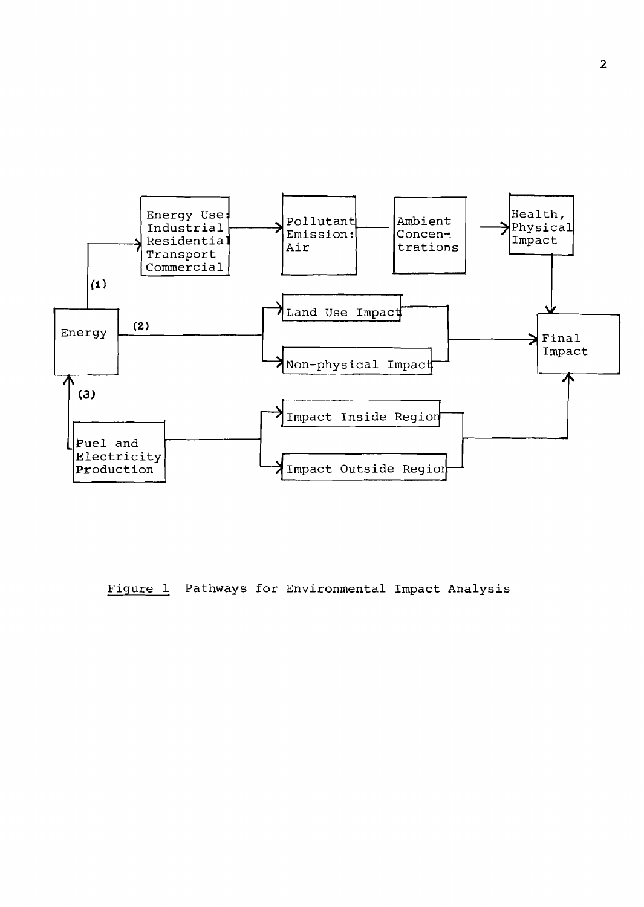

Figure 1 Pathways for Environmental Impact Analysis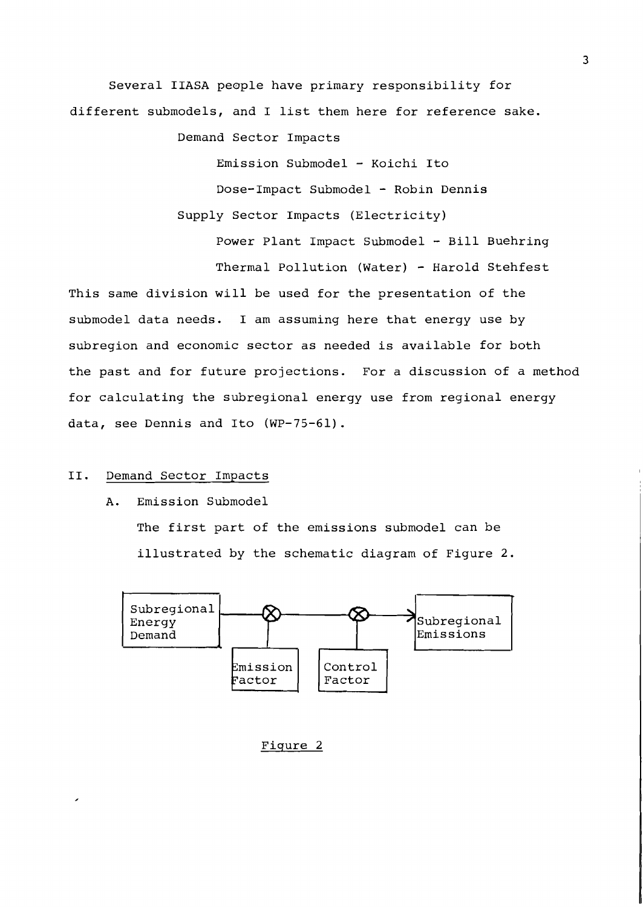Several IIASA people have primary responsibility for different submodels, and I list them here for reference sake. Demand Sector Impacts Emission Submodel - Koichi Ito

Dose-Impact Submodel - Robin Dennis Supply Sector Impacts (Electricity)

> Power Plant Impact Submodel - Bill Buehring Thermal Pollution (Water) - Harold Stehfest

This same division will be used for the presentation of the I am assuming here that energy use by submodel data needs. subregion and economic sector as needed is available for both the past and for future projections. For a discussion of a method for calculating the subregional energy use from regional energy data, see Dennis and Ito (WP-75-61).

#### II. Demand Sector Impacts

#### A. Emission Submodel

The first part of the emissions submodel can be illustrated by the schematic diagram of Figure 2.



Fiqure<sub>2</sub>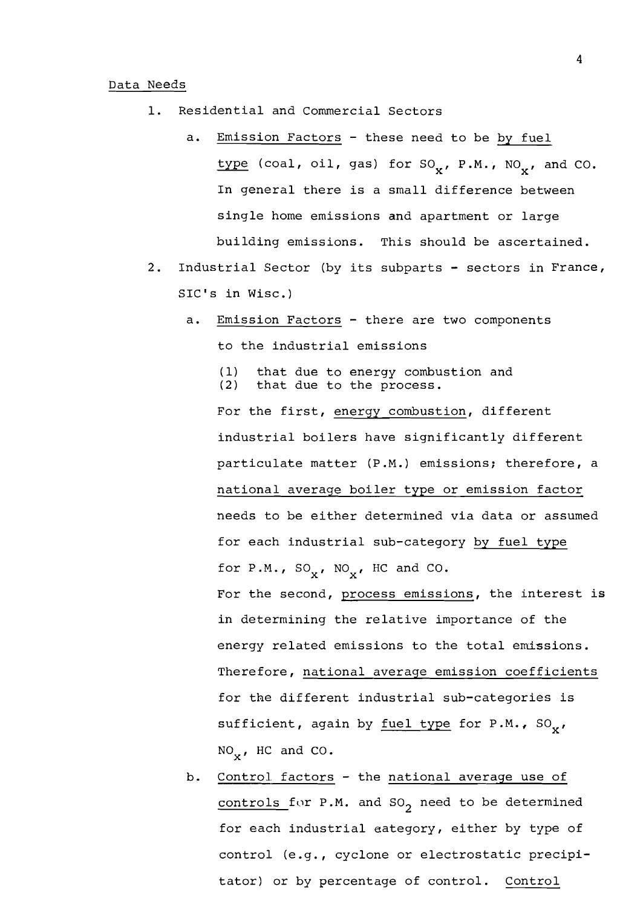- 1. Residential and Commercial Sectors
	- a. Emission Factors these need to be by fuel (coal, oil, gas) for  $\text{SO}_{\textbf{X}}^{\text{}}$ , P.M.,  $\text{NO}_{\textbf{X}^{\text{}}^{\text{}}$ , and  $\text{CO}_{\text{\text{-}}}$ In general there is <sup>a</sup> small difference between single home emissions and apartment or large building emissions. This should be ascertained.
- 2. Industrial Sector (by its subparts sectors in France, SIC's in Wisc.)
	- a. Emission Factors there are two components to the industrial emissions
		- $(1)$  that due to energy combustion and  $(2)$  that due to the process. that due to the process.

For the first, energy combustion, different industrial boilers have significantly different particulate matter (P.M.) emissions; therefore, <sup>a</sup> national average boiler type or emission factor needs to be either determined via data or assumed for each industrial sub-category by fuel type for P.M.,  $SO_{\chi}$ ,  $NO_{\chi}$ , HC and CO.

For the second, process emissions, the interest is in determining the relative importance of the energy related emissions to the total emissions. Therefore, national average emission coefficients for the different industrial sub-categories is sufficient, again by fuel type for P.M.,  $SO_{x}$ ,  $NO_{\mathbf{x}}$ , HC and CO.

b. Control factors - the national average use of controls for P.M. and  $SO_2$  need to be determined for each industrial eategory, either by type of control (e.g., cyclone or electrostatic precipitator) or by percentage of control. Control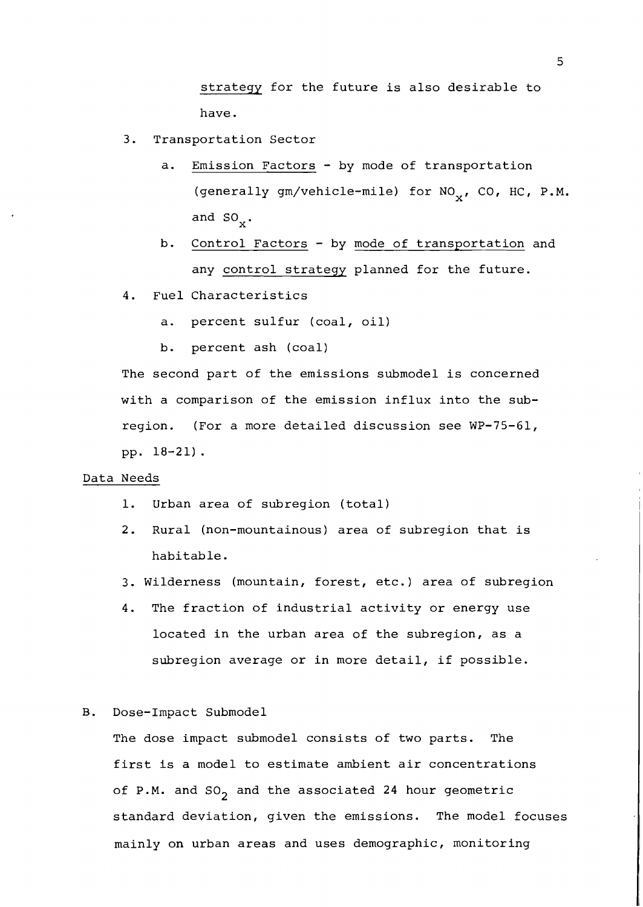strategy for the future is also desirable to have.

- 3. Transportation Sector
	- a. Emission Factors by mode of transportation (generally gm/vehicle-mile) for  $NO_{\rm\bf x}^{}$ , CO, HC, P.M. and  $SO_{x}$ .
	- b. Control Factors by mode of transportation and any control strategy planned for the future.
- 4. Fuel Characteristics
	- a. percent sulfur (coal, oil)
	- b. percent ash (coal)

The second part of the emissions submodel is concerned with a comparison of the emission influx into the subregion. (For a more detailed discussion see WP-75-61, pp. 18-21).

## Data Needs

- 1. Urban area of subregion (total)
- 2. Rural (non-mountainous) area of subregion that is habitable.
- 3. Wilderness (mountain, forest, etc.) area of subregion
- 4. The fraction of industrial activity or energy use located in the urban area of the subregion, as a subregion average or in more detail, if possible.

## B. Dose-Impact Submodel

The dose impact submodel consists of two parts. The first is <sup>a</sup> model to estimate ambient air concentrations of P.M. and  $SO_2$  and the associated 24 hour geometric standard deviation, given the emissions. The model focuses mainly on urban areas and uses demographic, monitoring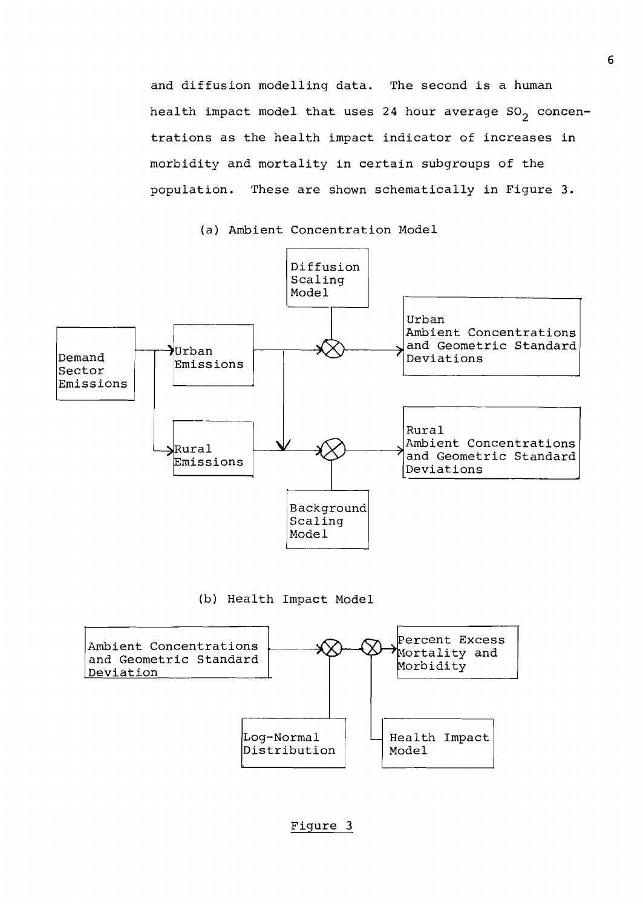and diffusion modelling data. The second is <sup>a</sup> human health impact model that uses 24 hour average  $SO_2$  concentrations as the health impact indicator of increases in morbidity and mortality in certain subgroups of the population. These are shown schematically in Figure 3.

## (a) Ambient Concentration Model



(b) Health Impact Model



## Figure 3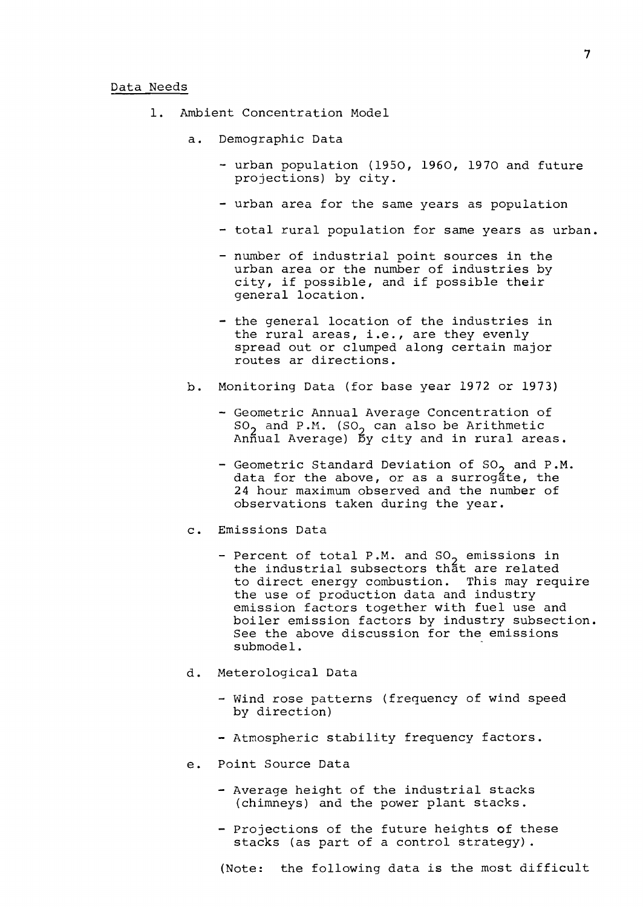- 1. Ambient Concentration Model
	- a. Demographic Data
		- urban population (1950, 1960, 1970 and future projections) by city.
		- urban area for the same years as population
		- total rural population for same years as urban.
		- number of industrial point sources in the urban area or the number of industries by city, if possible, and if possible their general location.
		- the general location of the industries in the rural areas, i.e., are they evenly spread out or clumped along certain major routes ar directions.
	- b. Monitoring Data (for base year 1972 or 1973)
		- Geometric Annual Average Concentration of  $SO_2$  and P.M. (SO<sub>2</sub> can also be Arithmetic Annual Average) by city and in rural areas.
		- Geometric Standard Deviation of  $SO<sub>2</sub>$  and P.M. data for the above, or as a surrogate, the 24 hour maximum observed and the number of observations taken during the year.
	- c. Emissions Data
		- Percent of total P.M. and  $SO_2$  emissions in the industrial subsectors that are related to direct energy combustion. This may require the use of production data and industry emission factors together with fuel use and boiler emission factors by industry subsection. See the above discussion for the emissions submodel.
	- d. Meterological Data
		- Wind rose patterns (frequency of wind speed by direction)
		- Atmospheric stability frequency factors.
	- e. Point Source Data
		- Average height of the industrial stacks (chimneys) and the power plant stacks.
		- Projections of the future heights of these stacks (as part of a control strategy) .

(Note: the following data is the most difficult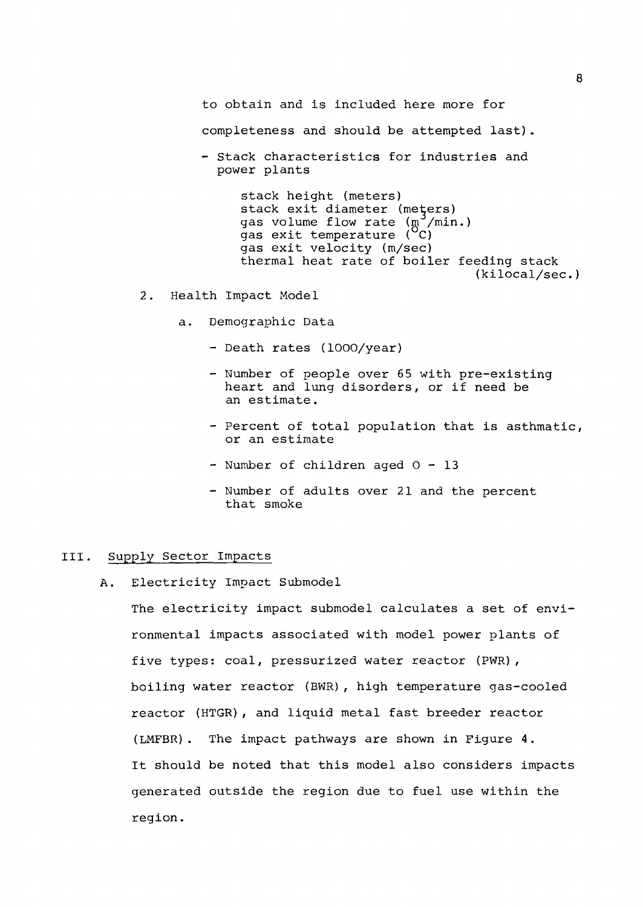to obtain and is included here more for completeness and should be attempted last). - Stack characteristics for industries and power plants stack height (meters) stack exit diameter (meters)<br>gas volume flow rate (m'/min.) gas volume flow rate (m<sup>3</sup>/min.) gas corame from face (<sup>o</sup>C) gas exit velocity (m/sec) thermal heat rate of boiler feeding stack (kilocal/sec.)

- 2. Health Impact Model
	- a. Demographic Data
		- Death rates (lOOO/year)
		- Number of people over 65 with pre-existing heart and lung disorders, or if need be an estimate.
		- Percent of total population that is asthmatic, or an estimate
		- Number of children aged  $0$  13
		- Number of adults over 21 and the percent that smoke

## III. Supply Sector Impacts

A. Electricity Impact Submodel

The electricity impact submodel calculates a set of environmental impacts associated with model power plants of five types: coal, pressurized water reactor (PWR) , boiling water reactor (BWR) , high temperature gas-cooled reactor (HTGR), and liquid metal fast breeder reactor (LMFBR). The impact pathways are shown in Figure **4.** It should be noted that this model also considers impacts generated outside the region due to fuel use within the region.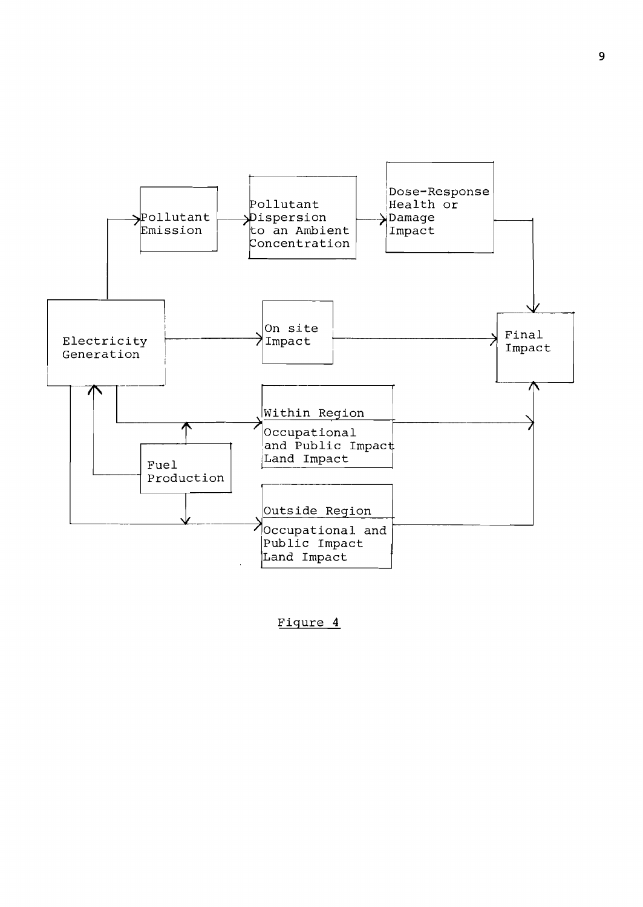

Figure 4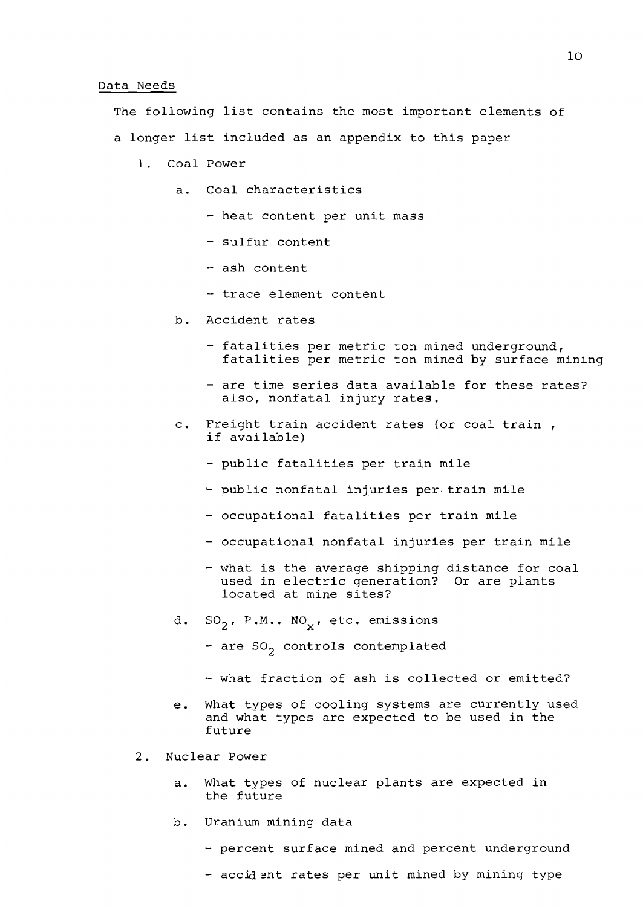The following list contains the most important elements of

- <sup>a</sup> longer list included as an appendix to this paper
	- 1. Coal Power
		- a. Coal characteristics
			- heat content per unit mass
			- sulfur content
			- ash content
			- trace element content
		- b. Accident rates
			- fatalities per metric ton mined underground, fatalities per metric ton mined by surface mining
			- are time series data available for these rates? also, nonfatal injury rates.
		- c. Freight train accident rates (or coal train, if available)
			- public fatalities per train mile
			- $-$  public nonfatal injuries per train mile
			- occupational fatalities per train mile
			- occupational nonfatal injuries per train mile
			- what is the average shipping distance for coal used in electric generation? Or are plants located at mine sites?
		- d.  $SO_2$ , P.M.. NO<sub>x</sub>, etc. emissions
			- are  $SO<sub>2</sub>$  controls contemplated
			- what fraction of ash is collected or emitted?
		- e. What types of cooling systems are currently used and what types are expected to be used in the future
	- 2. Nuclear Power
		- a. What types of nuclear plants are expected in the future
		- b. Uranium mining data
			- percent surface mined and percent underground
			- accident rates per unit mined by mining type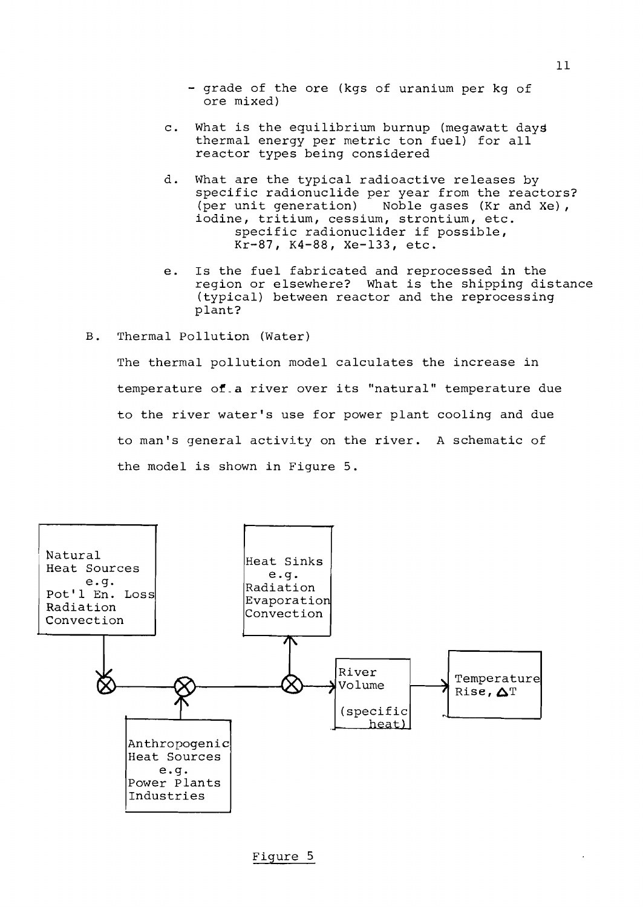- c. What is the equilibrium burnup (megawatt days thermal energy per metric ton fuel) for all reactor types being considered
- d. What are the typical radioactive releases by specific radionuclide per year from the reactors? (per unit generation) Noble gases (Kr and Xe) , iodine, tritium, cessium, strontium, etc. specific radionuclider if possible, Kr-87, K4-88, Xe-133, etc.
- e. Is the fuel fabricated and reprocessed in the region or elsewhere? What is the shipping distance (typical) between reactor and the reprocessing plant?
- B. Thermal pollution (Water)

The thermal pollution model calculates the increase in temperature of a river over its "natural" temperature due to the river water's use for power plant cooling and due to man's general activity on the river. <sup>A</sup> schematic of the model is shown in Figure 5.

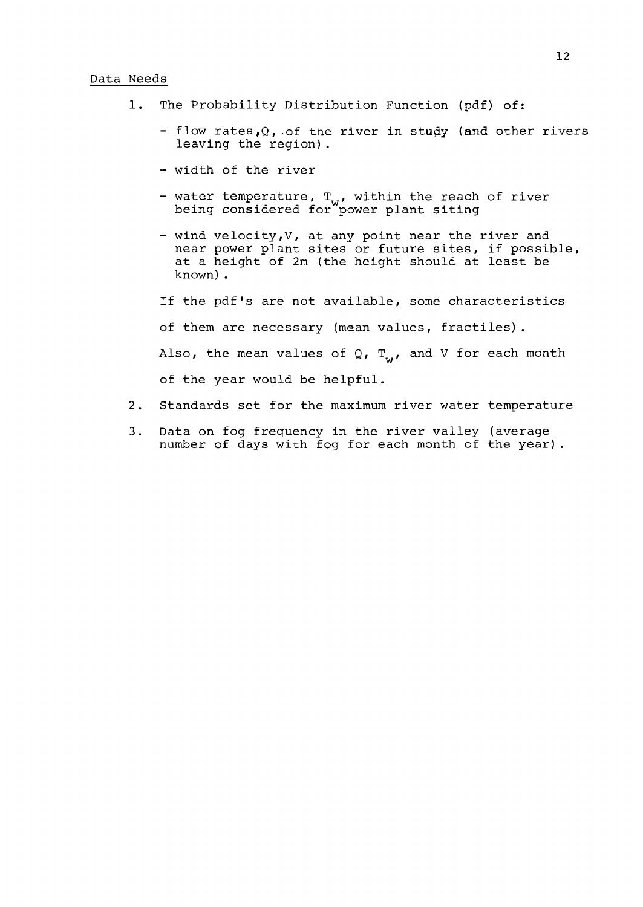- 1. The Probability Distribution Function (pdf) of:
	- flow rates, Q, of the river in study (and other rivers leaving the region) .
	- width of the river
	- water temperature,  $T_{_M}$ , within the reach of river water compenses of two mathems and reading
	- wind velocity,V, at any point near the river and near power plant sites or future sites, if possible, at <sup>a</sup> height of 2m (the height should at least be known) .

If the pdf's are not available, some characteristics of them are necessary (mean values, fractiles). Also, the mean values of Q,  $T_{_W}$ , and V for each month of the year would be helpful.

- 2. Standards set for the maximum river water temperature
- 3. Data on fog frequency in the river valley (average number of days with fog for each month of the year) .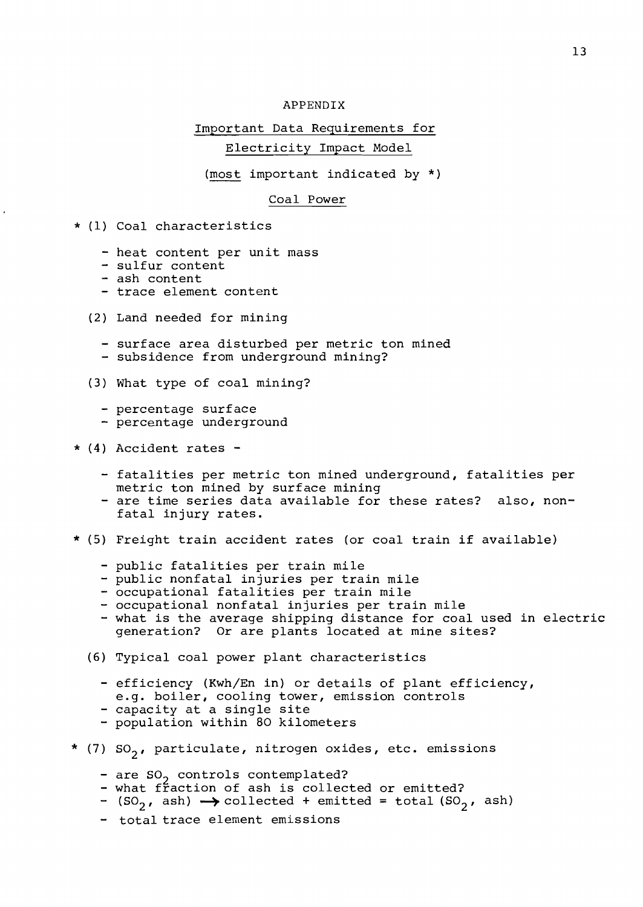#### APPENDIX

# Important Data Requirements for Electricity Impact Model

(most important indicated by \*)

#### Coal Power

- \* (1) Coal characteristics
	- heat content per unit mass
	- sulfur content
	- ash content
	- trace element content
	- (2) Land needed for mining
		- surface area disturbed per metric ton mined - subsidence from underground mining?
	- (3) What type of coal mining?
		- percentage surface
		- percentage underground
- \* (4) Accident rates
	- fatalities per metric ton mined underground, fatalities per metric ton mined by surface mining
	- are time series data available for these rates? also, nonfatal injury rates.
- \* (5) Freight train accident rates (or coal train if available)
	- public fatalities per train mile
	- public nonfatal injuries per train mile
	- occupational fatalities per train mile
	- occupational nonfatal injuries per train mile
	- what is the average shipping distance for coal used in electric generation? Or are plants located at mine sites?
	- (6) Typical coal power plant characteristics
		- efficiency (Kwh/En in) or details of plant efficiency,
		- e.g. boiler, cooling tower, emission controls
		- capacity at <sup>a</sup> single site
		- population within 80 kilometers
- \* (7) SO<sub>2</sub>, particulate, nitrogen oxides, etc. emissions
	- are SO<sub>2</sub> controls contemplated?
	- what fraction of ash is collected or emitted?
	- (SO<sub>2</sub>, ash)  $\rightarrow$  collected + emitted = total (SO<sub>2</sub>, ash)
	- total trace element emissions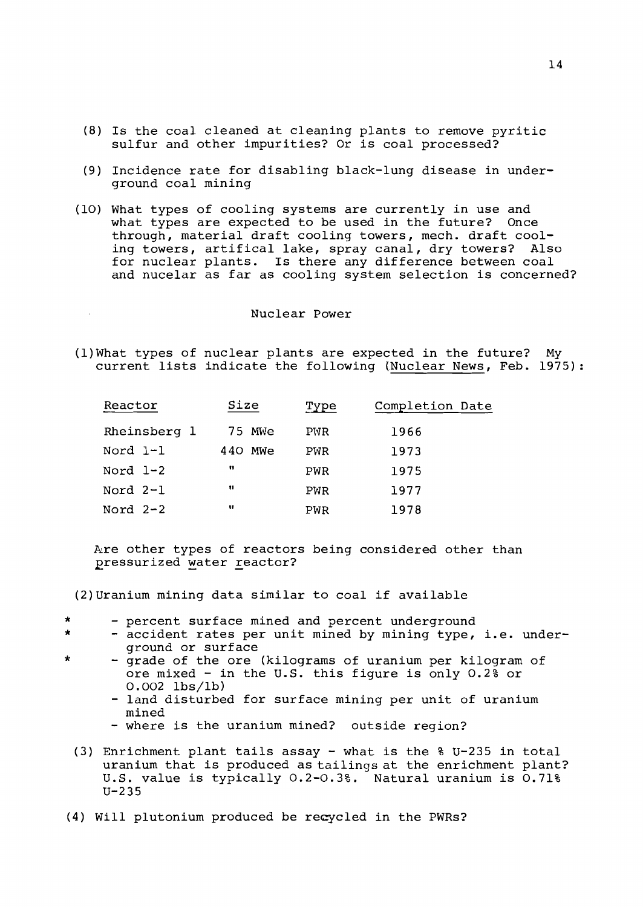- (8) Is the coal cleaned at cleaning plants to remove pyritic sulfur and other impurities? Or is coal processed?
- (9) Incidence rate for disabling black-lung disease in underground coal mining
- (10) What types of cooling systems are currently in use and what types are expected to be used in the future? Once through, material draft cooling towers, mech. draft cooling towers, artifical lake, spray canal, dry towers? Also for nuclear plants. Is there any difference between coal and nucelar as far as cooling system selection is concerned?

## Nuclear Power

(1) What types of nuclear plants are expected in the future? My current lists indicate the following (Nuclear News, Feb. 1975):

| Reactor<br>Rheinsberg 1 |  | Size<br>75 MWe | Type<br>PWR | Completion Date<br>1966 |
|-------------------------|--|----------------|-------------|-------------------------|
|                         |  |                |             |                         |
| Nord 1-2                |  | n              | PWR         | 1975                    |
| Nord $2-1$              |  | n              | PWR         | 1977                    |
| Nord $2-2$              |  | u              | PWR         | 1978                    |

hre other types of reactors being considered other than pressurized water reactor?

(2) Uranium mining data similar to coal if available

- percent surface mined and percent underground
	- accident rates per unit mined by mining type, i.e. under-
	- ground or surface - grade of the ore (kilograms of uranium per kilogram of ore mixed - in the U.S. this figure is only 0.2% or 0.002 Ibs/lb)
		- land disturbed for surface mining per unit of uranium mined
		- where is the uranium mined? outside region?
- (3) Enrichment plant tails assay what is the % U-235 in total uranium that is produced as tailings at the enrichment plant? U.S. value is typically 0.2-0.3%. Natural uranium is 0.71% U-235
- (4) Will plutonium produced be recycled in the PWRs?

\* \*

\*